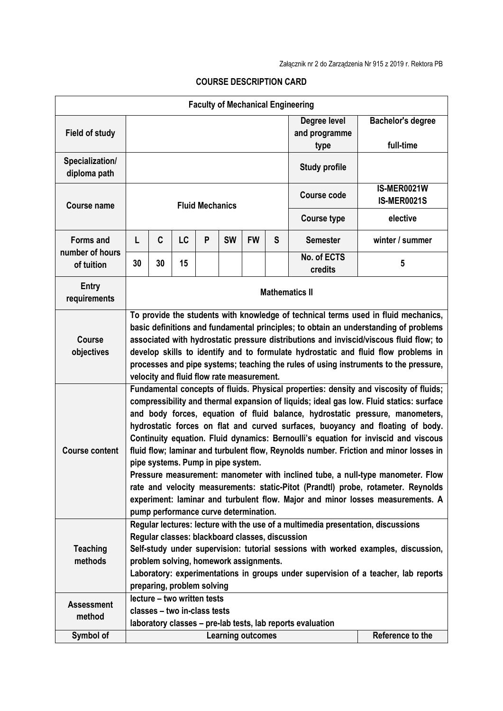| <b>Faculty of Mechanical Engineering</b> |                                                                                                                                                                                                                                                                                                                                                                                                                                                                                                                                                                                                                                                                                                                                                                                                                                                                             |                                                                                                            |    |   |           |           |                      |                               |                                   |
|------------------------------------------|-----------------------------------------------------------------------------------------------------------------------------------------------------------------------------------------------------------------------------------------------------------------------------------------------------------------------------------------------------------------------------------------------------------------------------------------------------------------------------------------------------------------------------------------------------------------------------------------------------------------------------------------------------------------------------------------------------------------------------------------------------------------------------------------------------------------------------------------------------------------------------|------------------------------------------------------------------------------------------------------------|----|---|-----------|-----------|----------------------|-------------------------------|-----------------------------------|
| <b>Field of study</b>                    |                                                                                                                                                                                                                                                                                                                                                                                                                                                                                                                                                                                                                                                                                                                                                                                                                                                                             |                                                                                                            |    |   |           |           |                      | Degree level<br>and programme | <b>Bachelor's degree</b>          |
|                                          |                                                                                                                                                                                                                                                                                                                                                                                                                                                                                                                                                                                                                                                                                                                                                                                                                                                                             |                                                                                                            |    |   |           |           |                      | type                          | full-time                         |
| Specialization/<br>diploma path          |                                                                                                                                                                                                                                                                                                                                                                                                                                                                                                                                                                                                                                                                                                                                                                                                                                                                             |                                                                                                            |    |   |           |           | <b>Study profile</b> |                               |                                   |
| <b>Course name</b>                       | <b>Fluid Mechanics</b>                                                                                                                                                                                                                                                                                                                                                                                                                                                                                                                                                                                                                                                                                                                                                                                                                                                      |                                                                                                            |    |   |           |           |                      | <b>Course code</b>            | IS-MER0021W<br><b>IS-MER0021S</b> |
|                                          |                                                                                                                                                                                                                                                                                                                                                                                                                                                                                                                                                                                                                                                                                                                                                                                                                                                                             |                                                                                                            |    |   |           |           |                      | <b>Course type</b>            | elective                          |
| <b>Forms and</b>                         | L                                                                                                                                                                                                                                                                                                                                                                                                                                                                                                                                                                                                                                                                                                                                                                                                                                                                           | C                                                                                                          | LC | P | <b>SW</b> | <b>FW</b> | S                    | <b>Semester</b>               | winter / summer                   |
| number of hours<br>of tuition            | 30                                                                                                                                                                                                                                                                                                                                                                                                                                                                                                                                                                                                                                                                                                                                                                                                                                                                          | 30                                                                                                         | 15 |   |           |           |                      | No. of ECTS<br>credits        | 5                                 |
| <b>Entry</b><br>requirements             | <b>Mathematics II</b>                                                                                                                                                                                                                                                                                                                                                                                                                                                                                                                                                                                                                                                                                                                                                                                                                                                       |                                                                                                            |    |   |           |           |                      |                               |                                   |
| <b>Course</b><br>objectives              | To provide the students with knowledge of technical terms used in fluid mechanics,<br>basic definitions and fundamental principles; to obtain an understanding of problems<br>associated with hydrostatic pressure distributions and inviscid/viscous fluid flow; to<br>develop skills to identify and to formulate hydrostatic and fluid flow problems in<br>processes and pipe systems; teaching the rules of using instruments to the pressure,<br>velocity and fluid flow rate measurement.                                                                                                                                                                                                                                                                                                                                                                             |                                                                                                            |    |   |           |           |                      |                               |                                   |
| <b>Course content</b>                    | Fundamental concepts of fluids. Physical properties: density and viscosity of fluids;<br>compressibility and thermal expansion of liquids; ideal gas low. Fluid statics: surface<br>and body forces, equation of fluid balance, hydrostatic pressure, manometers,<br>hydrostatic forces on flat and curved surfaces, buoyancy and floating of body.<br>Continuity equation. Fluid dynamics: Bernoulli's equation for inviscid and viscous<br>fluid flow; laminar and turbulent flow, Reynolds number. Friction and minor losses in<br>pipe systems. Pump in pipe system.<br>Pressure measurement: manometer with inclined tube, a null-type manometer. Flow<br>rate and velocity measurements: static-Pitot (Prandtl) probe, rotameter. Reynolds<br>experiment: laminar and turbulent flow. Major and minor losses measurements. A<br>pump performance curve determination. |                                                                                                            |    |   |           |           |                      |                               |                                   |
| <b>Teaching</b><br>methods               | Regular lectures: lecture with the use of a multimedia presentation, discussions<br>Regular classes: blackboard classes, discussion<br>Self-study under supervision: tutorial sessions with worked examples, discussion,<br>problem solving, homework assignments.<br>Laboratory: experimentations in groups under supervision of a teacher, lab reports<br>preparing, problem solving                                                                                                                                                                                                                                                                                                                                                                                                                                                                                      |                                                                                                            |    |   |           |           |                      |                               |                                   |
| <b>Assessment</b><br>method              |                                                                                                                                                                                                                                                                                                                                                                                                                                                                                                                                                                                                                                                                                                                                                                                                                                                                             | lecture - two written tests<br>classes - two in-class tests                                                |    |   |           |           |                      |                               |                                   |
| Symbol of                                |                                                                                                                                                                                                                                                                                                                                                                                                                                                                                                                                                                                                                                                                                                                                                                                                                                                                             | laboratory classes - pre-lab tests, lab reports evaluation<br>Reference to the<br><b>Learning outcomes</b> |    |   |           |           |                      |                               |                                   |

## **COURSE DESCRIPTION CARD**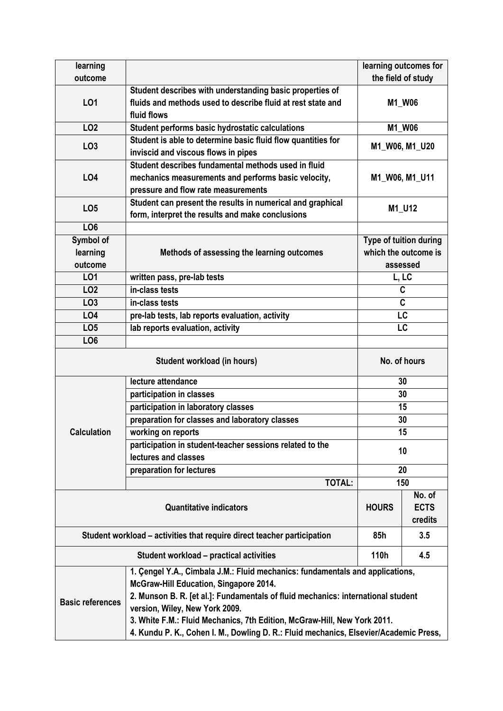| learning                                                                                                                                                                                                                                                                                                                                                                                                                                      |                                                                                                                                                   |                                                            | learning outcomes for |  |  |
|-----------------------------------------------------------------------------------------------------------------------------------------------------------------------------------------------------------------------------------------------------------------------------------------------------------------------------------------------------------------------------------------------------------------------------------------------|---------------------------------------------------------------------------------------------------------------------------------------------------|------------------------------------------------------------|-----------------------|--|--|
| outcome                                                                                                                                                                                                                                                                                                                                                                                                                                       |                                                                                                                                                   | the field of study                                         |                       |  |  |
| LO1                                                                                                                                                                                                                                                                                                                                                                                                                                           | Student describes with understanding basic properties of<br>fluids and methods used to describe fluid at rest state and<br>fluid flows            | M1_W06                                                     |                       |  |  |
| LO <sub>2</sub>                                                                                                                                                                                                                                                                                                                                                                                                                               | Student performs basic hydrostatic calculations                                                                                                   | M1_W06                                                     |                       |  |  |
| LO <sub>3</sub>                                                                                                                                                                                                                                                                                                                                                                                                                               | Student is able to determine basic fluid flow quantities for<br>inviscid and viscous flows in pipes                                               | M1 W06, M1 U20                                             |                       |  |  |
| <b>LO4</b>                                                                                                                                                                                                                                                                                                                                                                                                                                    | Student describes fundamental methods used in fluid<br>mechanics measurements and performs basic velocity,<br>pressure and flow rate measurements | M1_W06, M1_U11                                             |                       |  |  |
| LO <sub>5</sub>                                                                                                                                                                                                                                                                                                                                                                                                                               | Student can present the results in numerical and graphical<br>form, interpret the results and make conclusions                                    |                                                            | M1_U12                |  |  |
| LO <sub>6</sub>                                                                                                                                                                                                                                                                                                                                                                                                                               |                                                                                                                                                   |                                                            |                       |  |  |
| Symbol of<br>learning<br>outcome                                                                                                                                                                                                                                                                                                                                                                                                              | Methods of assessing the learning outcomes                                                                                                        | Type of tuition during<br>which the outcome is<br>assessed |                       |  |  |
| L01                                                                                                                                                                                                                                                                                                                                                                                                                                           | written pass, pre-lab tests                                                                                                                       | L, LC                                                      |                       |  |  |
| LO <sub>2</sub>                                                                                                                                                                                                                                                                                                                                                                                                                               | in-class tests                                                                                                                                    | C                                                          |                       |  |  |
| LO <sub>3</sub>                                                                                                                                                                                                                                                                                                                                                                                                                               | in-class tests                                                                                                                                    | C                                                          |                       |  |  |
| LO4                                                                                                                                                                                                                                                                                                                                                                                                                                           | pre-lab tests, lab reports evaluation, activity                                                                                                   | LC                                                         |                       |  |  |
| LO <sub>5</sub>                                                                                                                                                                                                                                                                                                                                                                                                                               | lab reports evaluation, activity                                                                                                                  | LC                                                         |                       |  |  |
| LO <sub>6</sub>                                                                                                                                                                                                                                                                                                                                                                                                                               |                                                                                                                                                   |                                                            |                       |  |  |
| <b>Student workload (in hours)</b>                                                                                                                                                                                                                                                                                                                                                                                                            |                                                                                                                                                   | No. of hours                                               |                       |  |  |
|                                                                                                                                                                                                                                                                                                                                                                                                                                               | lecture attendance                                                                                                                                | 30                                                         |                       |  |  |
|                                                                                                                                                                                                                                                                                                                                                                                                                                               | participation in classes                                                                                                                          | 30                                                         |                       |  |  |
|                                                                                                                                                                                                                                                                                                                                                                                                                                               | participation in laboratory classes                                                                                                               | 15                                                         |                       |  |  |
|                                                                                                                                                                                                                                                                                                                                                                                                                                               | preparation for classes and laboratory classes                                                                                                    | 30                                                         |                       |  |  |
| <b>Calculation</b>                                                                                                                                                                                                                                                                                                                                                                                                                            | working on reports                                                                                                                                | 15                                                         |                       |  |  |
|                                                                                                                                                                                                                                                                                                                                                                                                                                               | participation in student-teacher sessions related to the<br>lectures and classes                                                                  | 10                                                         |                       |  |  |
|                                                                                                                                                                                                                                                                                                                                                                                                                                               | preparation for lectures                                                                                                                          | 20                                                         |                       |  |  |
|                                                                                                                                                                                                                                                                                                                                                                                                                                               | TOTAL:                                                                                                                                            |                                                            | 150                   |  |  |
|                                                                                                                                                                                                                                                                                                                                                                                                                                               | <b>HOURS</b>                                                                                                                                      | No. of<br><b>ECTS</b><br>credits                           |                       |  |  |
| Student workload – activities that require direct teacher participation                                                                                                                                                                                                                                                                                                                                                                       |                                                                                                                                                   |                                                            | 3.5                   |  |  |
|                                                                                                                                                                                                                                                                                                                                                                                                                                               | Student workload - practical activities                                                                                                           | 110h                                                       | 4.5                   |  |  |
| 1. Çengel Y.A., Cimbala J.M.: Fluid mechanics: fundamentals and applications,<br>McGraw-Hill Education, Singapore 2014.<br>2. Munson B. R. [et al.]: Fundamentals of fluid mechanics: international student<br><b>Basic references</b><br>version, Wiley, New York 2009.<br>3. White F.M.: Fluid Mechanics, 7th Edition, McGraw-Hill, New York 2011.<br>4. Kundu P. K., Cohen I. M., Dowling D. R.: Fluid mechanics, Elsevier/Academic Press, |                                                                                                                                                   |                                                            |                       |  |  |